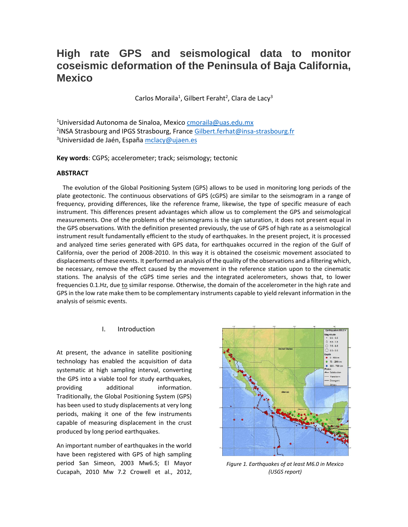# **High rate GPS and seismological data to monitor coseismic deformation of the Peninsula of Baja California, Mexico**

Carlos Moraila<sup>1</sup>, Gilbert Feraht<sup>2</sup>, Clara de Lacy<sup>3</sup>

<sup>1</sup>Universidad Autonoma de Sinaloa, Mexic[o cmoraila@uas.edu.mx](mailto:cmoraila@uas.edu.mx) <sup>2</sup>INSA Strasbourg and IPGS Strasbourg, France **Gilbert.ferhat@insa-strasbourg.fr** <sup>3</sup>Universidad de Jaén, Españ[a mclacy@ujaen.es](mailto:mclacy@ujaen.es)

**Key words**: CGPS; accelerometer; track; seismology; tectonic

## **ABSTRACT**

 The evolution of the Global Positioning System (GPS) allows to be used in monitoring long periods of the plate geotectonic. The continuous observations of GPS (cGPS) are similar to the seismogram in a range of frequency, providing differences, like the reference frame, likewise, the type of specific measure of each instrument. This differences present advantages which allow us to complement the GPS and seismological measurements. One of the problems of the seismograms is the sign saturation, it does not present equal in the GPS observations. With the definition presented previously, the use of GPS of high rate as a seismological instrument result fundamentally efficient to the study of earthquakes. In the present project, it is processed and analyzed time series generated with GPS data, for earthquakes occurred in the region of the Gulf of California, over the period of 2008-2010. In this way it is obtained the coseismic movement associated to displacements of these events. It performed an analysis of the quality of the observations and a filtering which, be necessary, remove the effect caused by the movement in the reference station upon to the cinematic stations. The analysis of the cGPS time series and the integrated acelerometers, shows that, to lower frequencies 0.1.Hz, due to similar response. Otherwise, the domain of the accelerometer in the high rate and GPS in the low rate make them to be complementary instruments capable to yield relevant information in the analysis of seismic events.

# I. Introduction

At present, the advance in satellite positioning technology has enabled the acquisition of data systematic at high sampling interval, converting the GPS into a viable tool for study earthquakes, providing additional information. Traditionally, the Global Positioning System (GPS) has been used to study displacements at very long periods, making it one of the few instruments capable of measuring displacement in the crust produced by long period earthquakes.

An important number of earthquakes in the world have been registered with GPS of high sampling period San Simeon, 2003 Mw6.5; El Mayor Cucapah, 2010 Mw 7.2 Crowell et al., 2012,



*Figure 1. Earthquakes of at least M6.0 in Mexico (USGS report)*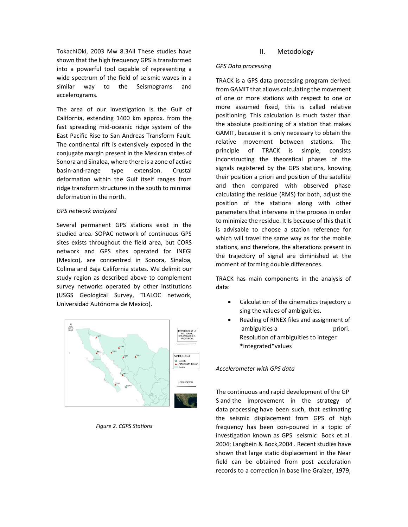TokachiOki, 2003 Mw 8.3All These studies have shown that the high frequency GPS is transformed into a powerful tool capable of representing a wide spectrum of the field of seismic waves in a similar way to the Seismograms and accelerograms.

The area of our investigation is the Gulf of California, extending 1400 km approx. from the fast spreading mid-oceanic ridge system of the East Pacific Rise to San Andreas Transform Fault. The continental rift is extensively exposed in the conjugate margin present in the Mexican states of Sonora and Sinaloa, where there is a zone of active basin-and-range type extension. Crustal deformation within the Gulf itself ranges from ridge transform structures in the south to minimal deformation in the north.

#### *GPS network analyzed*

Several permanent GPS stations exist in the studied area. SOPAC network of continuous GPS sites exists throughout the field area, but CORS network and GPS sites operated for INEGI (Mexico), are concentred in Sonora, Sinaloa, Colima and Baja California states. We delimit our study region as described above to complement survey networks operated by other Institutions (USGS Geological Survey, TLALOC network, Universidad Autónoma de Mexico).



*Figure 2. CGPS Stations*

# II. Metodology

#### *GPS Data processing*

TRACK is a GPS data processing program derived from GAMIT that allows calculating the movement of one or more stations with respect to one or more assumed fixed, this is called relative positioning. This calculation is much faster than the absolute positioning of a station that makes GAMIT, because it is only necessary to obtain the relative movement between stations. The principle of TRACK is simple, consists inconstructing the theoretical phases of the signals registered by the GPS stations, knowing their position a priori and position of the satellite and then compared with observed phase calculating the residue (RMS) for both, adjust the position of the stations along with other parameters that intervene in the process in order to minimize the residue. It Is because of this that it is advisable to choose a station reference for which will travel the same way as for the mobile stations, and therefore, the alterations present in the trajectory of signal are diminished at the moment of forming double differences.

TRACK has main components in the analysis of data:

- Calculation of the cinematics trajectory u sing the values of ambiguities.
- Reading of RINEX files and assignment of ambiguities a priori. Resolution of ambiguities to integer \*integrated\*values

#### *Accelerometer with GPS data*

The continuous and rapid development of the GP S and the improvement in the strategy of data processing have been such, that estimating the seismic displacement from GPS of high frequency has been con-poured in a topic of investigation known as GPS seismic Bock et al. 2004; Langbein & Bock,2004 . Recent studies have shown that large static displacement in the Near field can be obtained from post acceleration records to a correction in base line Graizer, 1979;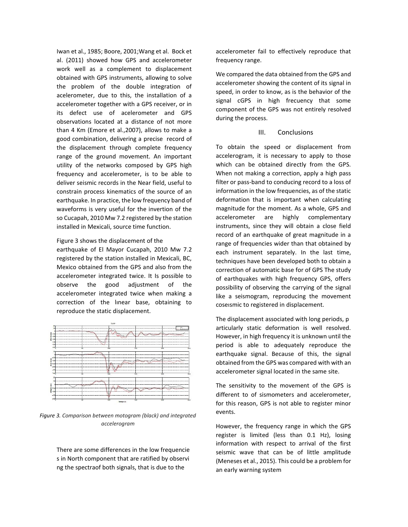Iwan et al., 1985; Boore, 2001;Wang et al. Bock et al. (2011) showed how GPS and accelerometer work well as a complement to displacement obtained with GPS instruments, allowing to solve the problem of the double integration of acelerometer, due to this, the installation of a accelerometer together with a GPS receiver, or in its defect use of acelerometer and GPS observations located at a distance of not more than 4 Km (Emore et al.,2007), allows to make a good combination, delivering a precise record of the displacement through complete frequency range of the ground movement. An important utility of the networks composed by GPS high frequency and accelerometer, is to be able to deliver seismic records in the Near field, useful to constrain process kinematics of the source of an earthquake. In practice, the low frequency band of waveforms is very useful for the invertion of the so Cucapah, 2010 Mw 7.2 registered by the station installed in Mexicali, source time function.

#### Figure 3 shows the displacement of the

earthquake of El Mayor Cucapah, 2010 Mw 7.2 registered by the station installed in Mexicali, BC, Mexico obtained from the GPS and also from the accelerometer integrated twice. It Is possible to observe the good adjustment of the accelerometer integrated twice when making a correction of the lınear base, obtaining to reproduce the static displacement.



*Figure 3. Comparison between motogram (black) and integrated accelerogram*

There are some differences in the low frequencie s in North component that are ratified by observi ng the spectraof both signals, that is due to the

accelerometer fail to effectively reproduce that frequency range.

We compared the data obtained from the GPS and accelerometer showing the content of its signal in speed, in order to know, as is the behavior of the signal cGPS in high frecuency that some component of the GPS was not entirely resolved during the process.

### III. Conclusions

To obtain the speed or displacement from accelerogram, it is necessary to apply to those which can be obtained directly from the GPS. When not making a correction, apply a high pass filter or pass-band to conducing record to a loss of information in the low frequencies, as of the static deformation that is important when calculating magnitude for the moment. As a whole, GPS and accelerometer are highly complementary instruments, since they will obtain a close field record of an earthquake of great magnitude in a range of frequencies wider than that obtained by each instrument separately. In the last time, techniques have been developed both to obtain a correction of automatic base for of GPS The study of earthquakes with high frequency GPS, offers possibility of observing the carrying of the signal like a seismogram, reproducing the movement coseısmic to registered in displacement.

The displacement associated with long periods, p articularly static deformation is well resolved. However, in high frequency it is unknown until the period is able to adequately reproduce the earthquake signal. Because of this, the signal obtained from the GPS was compared with with an accelerometer signal located in the same site.

The sensitivity to the movement of the GPS is different to of sismometers and accelerometer, for this reason, GPS is not able to register minor events.

However, the frequency range in which the GPS register is limited (less than 0.1 Hz), losing information with respect to arrival of the first seismic wave that can be of little amplitude (Meneses et al., 2015). This could be a problem for an early warning system